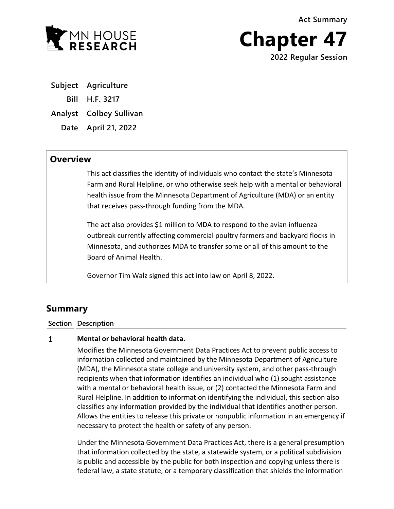**Act Summary**



**Chapter 47 2022 Regular Session**

**Subject Agriculture Bill H.F. 3217 Analyst Colbey Sullivan Date April 21, 2022**

## **Overview**

This act classifies the identity of individuals who contact the state's Minnesota Farm and Rural Helpline, or who otherwise seek help with a mental or behavioral health issue from the Minnesota Department of Agriculture (MDA) or an entity that receives pass-through funding from the MDA.

The act also provides \$1 million to MDA to respond to the avian influenza outbreak currently affecting commercial poultry farmers and backyard flocks in Minnesota, and authorizes MDA to transfer some or all of this amount to the Board of Animal Health.

Governor Tim Walz signed this act into law on April 8, 2022.

# **Summary**

### **Section Description**

#### $\mathbf{1}$ **Mental or behavioral health data.**

Modifies the Minnesota Government Data Practices Act to prevent public access to information collected and maintained by the Minnesota Department of Agriculture (MDA), the Minnesota state college and university system, and other pass-through recipients when that information identifies an individual who (1) sought assistance with a mental or behavioral health issue, or (2) contacted the Minnesota Farm and Rural Helpline. In addition to information identifying the individual, this section also classifies any information provided by the individual that identifies another person. Allows the entities to release this private or nonpublic information in an emergency if necessary to protect the health or safety of any person.

Under the Minnesota Government Data Practices Act, there is a general presumption that information collected by the state, a statewide system, or a political subdivision is public and accessible by the public for both inspection and copying unless there is federal law, a state statute, or a temporary classification that shields the information